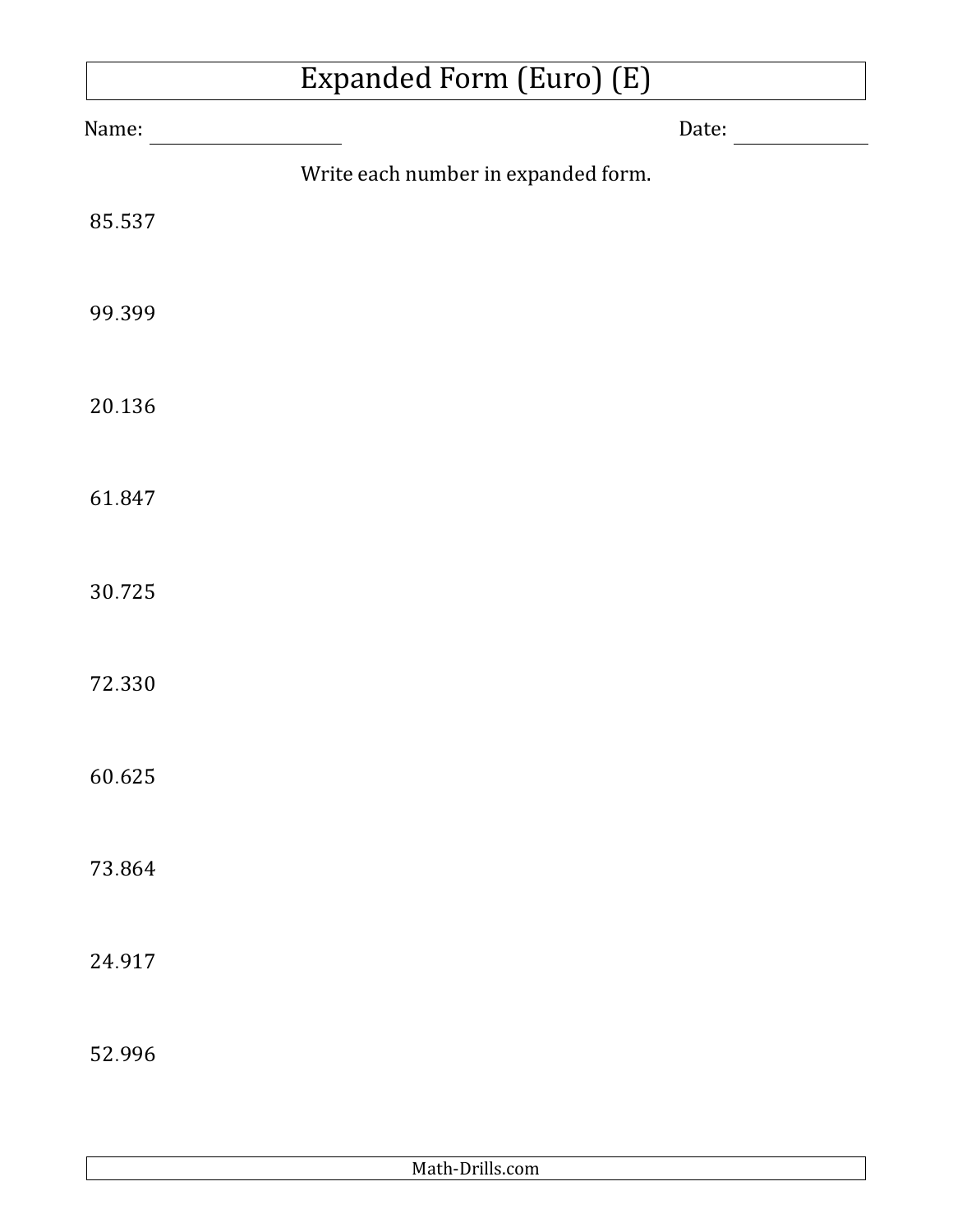## Expanded Form (Euro) (E)

| Name:  |                                     | Date: |
|--------|-------------------------------------|-------|
|        | Write each number in expanded form. |       |
| 85.537 |                                     |       |
| 99.399 |                                     |       |
| 20.136 |                                     |       |
| 61.847 |                                     |       |
| 30.725 |                                     |       |
| 72.330 |                                     |       |
| 60.625 |                                     |       |
| 73.864 |                                     |       |
| 24.917 |                                     |       |
| 52.996 |                                     |       |